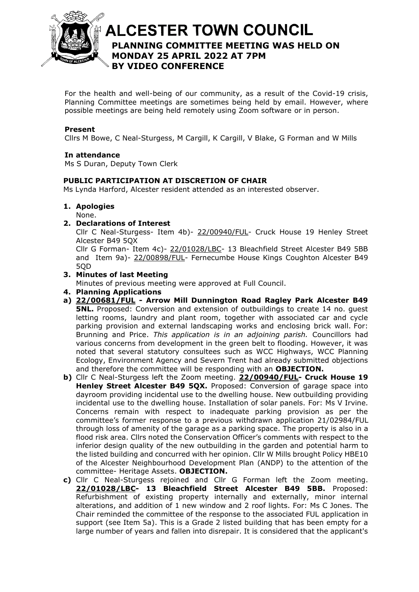

# **ALCESTER TOWN COUNCIL PLANNING COMMITTEE MEETING WAS HELD ON**  At the discretion of the Chair **MONDAY 25 APRIL 2022 AT 7PM BY VIDEO CONFERENCE**

For the health and well-being of our community, as a result of the Covid-19 crisis, Planning Committee meetings are sometimes being held by email. However, where possible meetings are being held remotely using Zoom software or in person.

### **Present**

Cllrs M Bowe, C Neal-Sturgess, M Cargill, K Cargill, V Blake, G Forman and W Mills

#### **In attendance**

Ms S Duran, Deputy Town Clerk

## **PUBLIC PARTICIPATION AT DISCRETION OF CHAIR**

Ms Lynda Harford, Alcester resident attended as an interested observer.

#### **1. Apologies**

None.

**2. Declarations of Interest**

Cllr C Neal-Sturgess- Item 4b)- [22/00940/FUL-](https://apps.stratford.gov.uk/eplanning/AppDetail.aspx?appkey=R9G97NPMJFG00) Cruck House 19 Henley Street Alcester B49 5QX

Cllr G Forman- Item 4c)- [22/01028/LBC-](https://apps.stratford.gov.uk/eplanning/AppDetail.aspx?appkey=R9TDIEPMFOO00) 13 Bleachfield Street Alcester B49 5BB and Item 9a)- [22/00898/FUL-](https://apps.stratford.gov.uk/eplanning/AppDetail.aspx?appkey=R9788LPMHRA00) Fernecumbe House Kings Coughton Alcester B49 5QD

**3. Minutes of last Meeting**

Minutes of previous meeting were approved at Full Council.

- **4. Planning Applications**
- **a) [22/00681/FUL](https://apps.stratford.gov.uk/eplanning/AppDetail.aspx?appkey=R889YIPMIGK00) - Arrow Mill Dunnington Road Ragley Park Alcester B49 5NL.** Proposed: Conversion and extension of outbuildings to create 14 no. quest letting rooms, laundry and plant room, together with associated car and cycle parking provision and external landscaping works and enclosing brick wall. For: Brunning and Price. *This application is in an adjoining parish.* Councillors had various concerns from development in the green belt to flooding. However, it was noted that several statutory consultees such as WCC Highways, WCC Planning Ecology, Environment Agency and Severn Trent had already submitted objections and therefore the committee will be responding with an **OBJECTION.**
- **b)** Cllr C Neal-Sturgess left the Zoom meeting. **[22/00940/FUL-](https://apps.stratford.gov.uk/eplanning/AppDetail.aspx?appkey=R9G97NPMJFG00) Cruck House 19 Henley Street Alcester B49 5QX.** Proposed: Conversion of garage space into dayroom providing incidental use to the dwelling house. New outbuilding providing incidental use to the dwelling house. Installation of solar panels. For: Ms V Irvine. Concerns remain with respect to inadequate parking provision as per the committee's former response to a previous withdrawn application 21/02984/FUL through loss of amenity of the garage as a parking space. The property is also in a flood risk area. Cllrs noted the Conservation Officer's comments with respect to the inferior design quality of the new outbuilding in the garden and potential harm to the listed building and concurred with her opinion. Cllr W Mills brought Policy HBE10 of the Alcester Neighbourhood Development Plan (ANDP) to the attention of the committee- Heritage Assets. **OBJECTION.**
- **c)** Cllr C Neal-Sturgess rejoined and Cllr G Forman left the Zoom meeting. **[22/01028/LBC-](https://apps.stratford.gov.uk/eplanning/AppDetail.aspx?appkey=R9TDIEPMFOO00) 13 Bleachfield Street Alcester B49 5BB.** Proposed: **Refurbishment of existing property internally and externally, minor internal** alterations, and addition of 1 new window and 2 roof lights. For: Ms C Jones. The Chair reminded the committee of the response to the associated FUL application in support (see Item 5a). This is a Grade 2 listed building that has been empty for a large number of years and fallen into disrepair. It is considered that the applicant's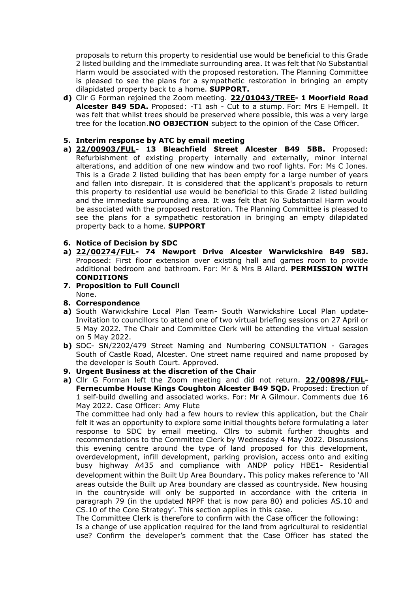proposals to return this property to residential use would be beneficial to this Grade 2 listed building and the immediate surrounding area. It was felt that No Substantial Harm would be associated with the proposed restoration. The Planning Committee is pleased to see the plans for a sympathetic restoration in bringing an empty dilapidated property back to a home. **SUPPORT.**

**d)** Cllr G Forman rejoined the Zoom meeting. **[22/01043/TREE-](https://apps.stratford.gov.uk/eplanning/AppDetail.aspx?appkey=R9UWWKPMG9L00) 1 Moorfield Road Alcester B49 5DA.** Proposed: -T1 ash - Cut to a stump. For: Mrs E Hempell. It was felt that whilst trees should be preserved where possible, this was a very large tree for the location.**NO OBJECTION** subject to the opinion of the Case Officer.

#### **5. Interim response by ATC by email meeting**

**a) [22/00903/FUL-](https://apps.stratford.gov.uk/eplanning/AppDetail.aspx?appkey=R98OWTPMI3I00) 13 Bleachfield Street Alcester B49 5BB.** Proposed: Refurbishment of existing property internally and externally, minor internal alterations, and addition of one new window and two roof lights. For: Ms C Jones. This is a Grade 2 listed building that has been empty for a large number of years and fallen into disrepair. It is considered that the applicant's proposals to return this property to residential use would be beneficial to this Grade 2 listed building and the immediate surrounding area. It was felt that No Substantial Harm would be associated with the proposed restoration. The Planning Committee is pleased to see the plans for a sympathetic restoration in bringing an empty dilapidated property back to a home. **SUPPORT**

#### **6. Notice of Decision by SDC**

- **a) [22/00274/FUL-](https://apps.stratford.gov.uk/eplanning/AppDetail.aspx?appkey=R6KS7FPMM6C00) 74 Newport Drive Alcester Warwickshire B49 5BJ.** Proposed: First floor extension over existing hall and games room to provide additional bedroom and bathroom. For: Mr & Mrs B Allard. **PERMISSION WITH CONDITIONS**
- **7. Proposition to Full Council** None.
- **8. Correspondence**
- **a)** South Warwickshire Local Plan Team- South Warwickshire Local Plan update-Invitation to councillors to attend one of two virtual briefing sessions on 27 April or 5 May 2022. The Chair and Committee Clerk will be attending the virtual session on 5 May 2022.
- **b)** SDC- SN/2202/479 Street Naming and Numbering CONSULTATION Garages South of Castle Road, Alcester. One street name required and name proposed by the developer is South Court. Approved.
- **9. Urgent Business at the discretion of the Chair**
- **a)** Cllr G Forman left the Zoom meeting and did not return. **[22/00898/FUL-](https://apps.stratford.gov.uk/eplanning/AppDetail.aspx?appkey=R9788LPMHRA00)Fernecumbe House Kings Coughton Alcester B49 5QD.** Proposed: Erection of 1 self-build dwelling and associated works. For: Mr A Gilmour. Comments due 16 May 2022. Case Officer: Amy Flute

The committee had only had a few hours to review this application, but the Chair felt it was an opportunity to explore some initial thoughts before formulating a later response to SDC by email meeting. Cllrs to submit further thoughts and recommendations to the Committee Clerk by Wednesday 4 May 2022. Discussions this evening centre around the type of land proposed for this development, overdevelopment, infill development, parking provision, access onto and exiting busy highway A435 and compliance with ANDP policy HBE1- Residential development within the Built Up Area Boundary. This policy makes reference to 'All areas outside the Built up Area boundary are classed as countryside. New housing in the countryside will only be supported in accordance with the criteria in paragraph 79 (in the updated NPPF that is now para 80) and policies AS.10 and CS.10 of the Core Strategy'. This section applies in this case.

The Committee Clerk is therefore to confirm with the Case officer the following:

Is a change of use application required for the land from agricultural to residential use? Confirm the developer's comment that the Case Officer has stated the